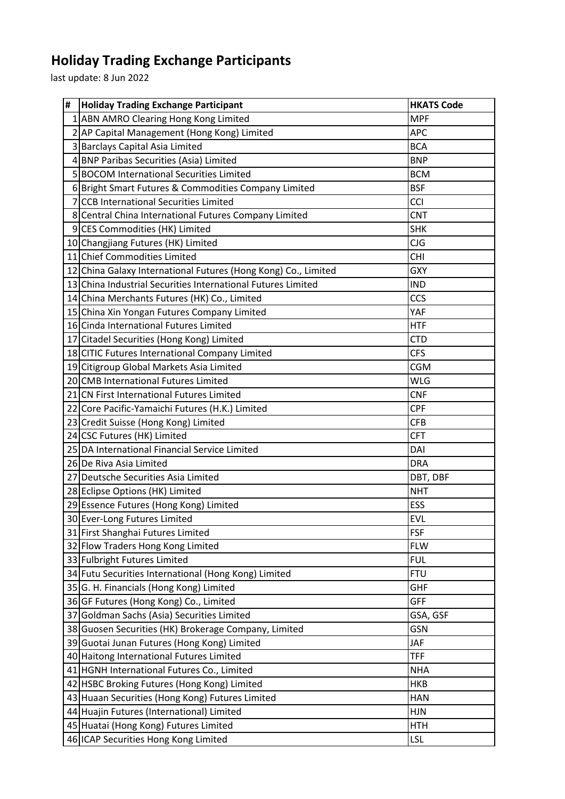## **Holiday Trading Exchange Participants**

last update: 8 Jun 2022

| # | <b>Holiday Trading Exchange Participant</b>                                             | <b>HKATS Code</b>        |
|---|-----------------------------------------------------------------------------------------|--------------------------|
|   | 1 ABN AMRO Clearing Hong Kong Limited                                                   | <b>MPF</b>               |
|   | 2 AP Capital Management (Hong Kong) Limited                                             | <b>APC</b>               |
|   | 3 Barclays Capital Asia Limited                                                         | <b>BCA</b>               |
|   | 4 BNP Paribas Securities (Asia) Limited                                                 | <b>BNP</b>               |
|   | 5 BOCOM International Securities Limited                                                | <b>BCM</b>               |
|   | 6 Bright Smart Futures & Commodities Company Limited                                    | <b>BSF</b>               |
|   | 7 CCB International Securities Limited                                                  | <b>CCI</b>               |
|   | 8 Central China International Futures Company Limited                                   | <b>CNT</b>               |
|   | 9 CES Commodities (HK) Limited                                                          | <b>SHK</b>               |
|   | 10 Changjiang Futures (HK) Limited                                                      | CJG                      |
|   | 11 Chief Commodities Limited                                                            | <b>CHI</b>               |
|   | 12 China Galaxy International Futures (Hong Kong) Co., Limited                          | <b>GXY</b>               |
|   | 13 China Industrial Securities International Futures Limited                            | <b>IND</b>               |
|   | 14 China Merchants Futures (HK) Co., Limited                                            | CCS                      |
|   | 15 China Xin Yongan Futures Company Limited                                             | YAF                      |
|   | 16 Cinda International Futures Limited                                                  | <b>HTF</b>               |
|   | 17 Citadel Securities (Hong Kong) Limited                                               | <b>CTD</b>               |
|   | 18 CITIC Futures International Company Limited                                          | <b>CFS</b>               |
|   | 19 Citigroup Global Markets Asia Limited                                                | <b>CGM</b>               |
|   | 20 CMB International Futures Limited                                                    | <b>WLG</b>               |
|   | 21 CN First International Futures Limited                                               | <b>CNF</b>               |
|   | 22 Core Pacific-Yamaichi Futures (H.K.) Limited                                         | <b>CPF</b>               |
|   | 23 Credit Suisse (Hong Kong) Limited                                                    | <b>CFB</b>               |
|   | 24 CSC Futures (HK) Limited                                                             | <b>CFT</b>               |
|   | 25 DA International Financial Service Limited                                           | DAI                      |
|   | 26 De Riva Asia Limited                                                                 | <b>DRA</b>               |
|   | 27 Deutsche Securities Asia Limited                                                     | DBT, DBF                 |
|   | 28 Eclipse Options (HK) Limited                                                         | <b>NHT</b>               |
|   | 29 Essence Futures (Hong Kong) Limited                                                  | ESS                      |
|   | 30 Ever-Long Futures Limited                                                            | EVL                      |
|   | 31 First Shanghai Futures Limited                                                       | <b>FSF</b>               |
|   | 32 Flow Traders Hong Kong Limited                                                       | <b>FLW</b>               |
|   | 33 Fulbright Futures Limited                                                            | <b>FUL</b>               |
|   | 34 Futu Securities International (Hong Kong) Limited                                    | <b>FTU</b>               |
|   | 35 G. H. Financials (Hong Kong) Limited                                                 | <b>GHF</b><br><b>GFF</b> |
|   | 36 GF Futures (Hong Kong) Co., Limited                                                  |                          |
|   | 37 Goldman Sachs (Asia) Securities Limited                                              | GSA, GSF                 |
|   | 38 Guosen Securities (HK) Brokerage Company, Limited                                    | GSN<br><b>JAF</b>        |
|   | 39 Guotai Junan Futures (Hong Kong) Limited<br>40 Haitong International Futures Limited | <b>TFF</b>               |
|   | 41 HGNH International Futures Co., Limited                                              | <b>NHA</b>               |
|   | 42 HSBC Broking Futures (Hong Kong) Limited                                             | <b>HKB</b>               |
|   | 43 Huaan Securities (Hong Kong) Futures Limited                                         | <b>HAN</b>               |
|   | 44 Huajin Futures (International) Limited                                               | <b>HJN</b>               |
|   | 45 Huatai (Hong Kong) Futures Limited                                                   | <b>HTH</b>               |
|   | 46 ICAP Securities Hong Kong Limited                                                    | <b>LSL</b>               |
|   |                                                                                         |                          |